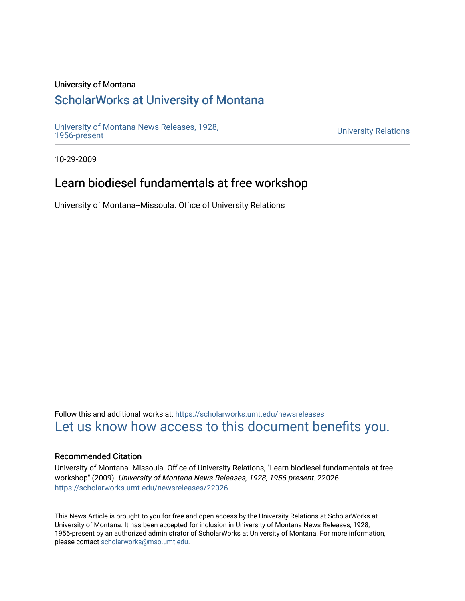### University of Montana

# [ScholarWorks at University of Montana](https://scholarworks.umt.edu/)

[University of Montana News Releases, 1928,](https://scholarworks.umt.edu/newsreleases) 

**University Relations** 

10-29-2009

# Learn biodiesel fundamentals at free workshop

University of Montana--Missoula. Office of University Relations

Follow this and additional works at: [https://scholarworks.umt.edu/newsreleases](https://scholarworks.umt.edu/newsreleases?utm_source=scholarworks.umt.edu%2Fnewsreleases%2F22026&utm_medium=PDF&utm_campaign=PDFCoverPages) [Let us know how access to this document benefits you.](https://goo.gl/forms/s2rGfXOLzz71qgsB2) 

### Recommended Citation

University of Montana--Missoula. Office of University Relations, "Learn biodiesel fundamentals at free workshop" (2009). University of Montana News Releases, 1928, 1956-present. 22026. [https://scholarworks.umt.edu/newsreleases/22026](https://scholarworks.umt.edu/newsreleases/22026?utm_source=scholarworks.umt.edu%2Fnewsreleases%2F22026&utm_medium=PDF&utm_campaign=PDFCoverPages) 

This News Article is brought to you for free and open access by the University Relations at ScholarWorks at University of Montana. It has been accepted for inclusion in University of Montana News Releases, 1928, 1956-present by an authorized administrator of ScholarWorks at University of Montana. For more information, please contact [scholarworks@mso.umt.edu.](mailto:scholarworks@mso.umt.edu)